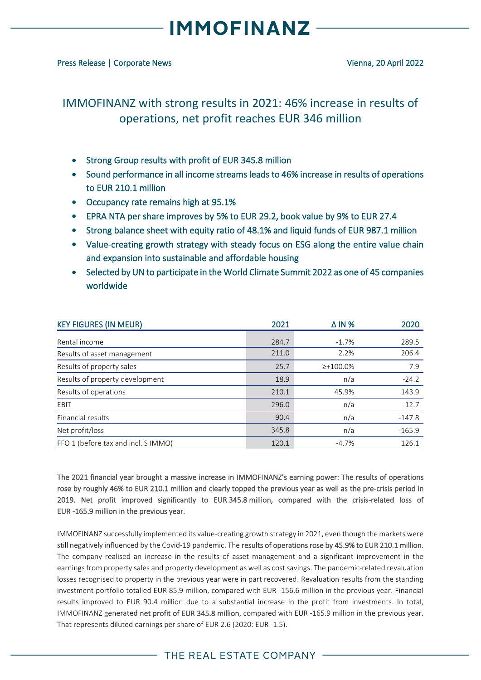### **MMOFINANZ**

### IMMOFINANZ with strong results in 2021: 46% increase in results of operations, net profit reaches EUR 346 million

- Strong Group results with profit of EUR 345.8 million
- Sound performance in all income streams leads to 46% increase in results of operations to EUR 210.1 million
- Occupancy rate remains high at 95.1%
- EPRA NTA per share improves by 5% to EUR 29.2, book value by 9% to EUR 27.4
- Strong balance sheet with equity ratio of 48.1% and liquid funds of EUR 987.1 million
- Value-creating growth strategy with steady focus on ESG along the entire value chain and expansion into sustainable and affordable housing
- Selected by UN to participate in the World Climate Summit 2022 as one of 45 companies worldwide

| <b>KEY FIGURES (IN MEUR)</b>        | 2021  | $\triangle$ IN % | 2020     |
|-------------------------------------|-------|------------------|----------|
| Rental income                       | 284.7 | $-1.7%$          | 289.5    |
| Results of asset management         | 211.0 | 2.2%             | 206.4    |
| Results of property sales           | 25.7  | $\geq +100.0\%$  | 7.9      |
| Results of property development     | 18.9  | n/a              | $-24.2$  |
| Results of operations               | 210.1 | 45.9%            | 143.9    |
| EBIT                                | 296.0 | n/a              | $-12.7$  |
| Financial results                   | 90.4  | n/a              | $-147.8$ |
| Net profit/loss                     | 345.8 | n/a              | $-165.9$ |
| FFO 1 (before tax and incl. S IMMO) | 120.1 | $-4.7%$          | 126.1    |

The 2021 financial year brought a massive increase in IMMOFINANZ's earning power: The results of operations rose by roughly 46% to EUR 210.1 million and clearly topped the previous year as well as the pre-crisis period in 2019. Net profit improved significantly to EUR 345.8 million, compared with the crisis-related loss of EUR -165.9 million in the previous year.

IMMOFINANZ successfully implemented its value-creating growth strategy in 2021, even though the markets were still negatively influenced by the Covid-19 pandemic. The results of operations rose by 45.9% to EUR 210.1 million. The company realised an increase in the results of asset management and a significant improvement in the earnings from property sales and property development as well as cost savings. The pandemic-related revaluation losses recognised to property in the previous year were in part recovered. Revaluation results from the standing investment portfolio totalled EUR 85.9 million, compared with EUR -156.6 million in the previous year. Financial results improved to EUR 90.4 million due to a substantial increase in the profit from investments. In total, IMMOFINANZ generated net profit of EUR 345.8 million, compared with EUR -165.9 million in the previous year. That represents diluted earnings per share of EUR 2.6 (2020: EUR -1.5).

### THE REAL ESTATE COMPANY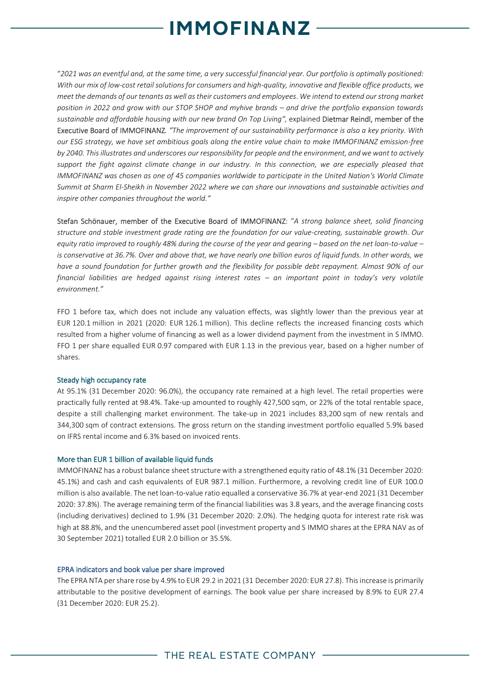## **MMOFINANZ**

"*2021 was an eventful and, at the same time, a very successful financial year. Our portfolio is optimally positioned: With our mix of low-cost retail solutions for consumers and high-quality, innovative and flexible office products, we meet the demands of our tenants as well as their customers and employees*. *We intend to extend our strong market position in 2022 and grow with our STOP SHOP and myhive brands – and drive the portfolio expansion towards sustainable and affordable housing with our new brand On Top Living",* explained Dietmar Reindl, member of the Executive Board of IMMOFINANZ*. "The improvement of our sustainability performance is also a key priority. With our ESG strategy, we have set ambitious goals along the entire value chain to make IMMOFINANZ emission-free by 2040. This illustrates and underscores our responsibility for people and the environment, and we want to actively support the fight against climate change in our industry. In this connection, we are especially pleased that IMMOFINANZ was chosen as one of 45 companies worldwide to participate in the United Nation's World Climate Summit at Sharm El-Sheikh in November 2022 where we can share our innovations and sustainable activities and inspire other companies throughout the world."*

Stefan Schönauer, member of the Executive Board of IMMOFINANZ: "*A strong balance sheet, solid financing structure and stable investment grade rating are the foundation for our value-creating, sustainable growth. Our equity ratio improved to roughly 48% during the course of the year and gearing – based on the net loan-to-value – is conservative at 36.7%. Over and above that, we have nearly one billion euros of liquid funds. In other words, we have a sound foundation for further growth and the flexibility for possible debt repayment. Almost 90% of our financial liabilities are hedged against rising interest rates – an important point in today's very volatile environment."* 

FFO 1 before tax, which does not include any valuation effects, was slightly lower than the previous year at EUR 120.1 million in 2021 (2020: EUR 126.1 million). This decline reflects the increased financing costs which resulted from a higher volume of financing as well as a lower dividend payment from the investment in S IMMO. FFO 1 per share equalled EUR 0.97 compared with EUR 1.13 in the previous year, based on a higher number of shares.

### Steady high occupancy rate

At 95.1% (31 December 2020: 96.0%), the occupancy rate remained at a high level. The retail properties were practically fully rented at 98.4%. Take-up amounted to roughly 427,500 sqm, or 22% of the total rentable space, despite a still challenging market environment. The take-up in 2021 includes 83,200 sqm of new rentals and 344,300 sqm of contract extensions. The gross return on the standing investment portfolio equalled 5.9% based on IFRS rental income and 6.3% based on invoiced rents.

### More than EUR 1 billion of available liquid funds

IMMOFINANZ has a robust balance sheet structure with a strengthened equity ratio of 48.1% (31 December 2020: 45.1%) and cash and cash equivalents of EUR 987.1 million. Furthermore, a revolving credit line of EUR 100.0 million is also available. The net loan-to-value ratio equalled a conservative 36.7% at year-end 2021 (31 December 2020: 37.8%). The average remaining term of the financial liabilities was 3.8 years, and the average financing costs (including derivatives) declined to 1.9% (31 December 2020: 2.0%). The hedging quota for interest rate risk was high at 88.8%, and the unencumbered asset pool (investment property and S IMMO shares at the EPRA NAV as of 30 September 2021) totalled EUR 2.0 billion or 35.5%.

### EPRA indicators and book value per share improved

The EPRA NTA per share rose by 4.9% to EUR 29.2 in 2021 (31 December 2020: EUR 27.8). This increase is primarily attributable to the positive development of earnings. The book value per share increased by 8.9% to EUR 27.4 (31 December 2020: EUR 25.2).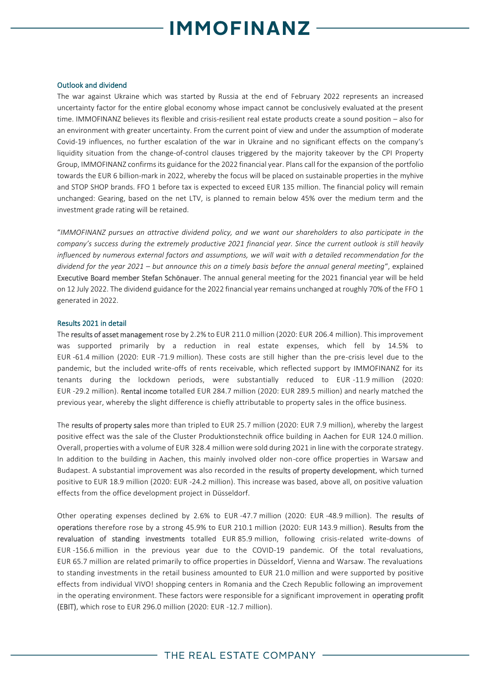# **MMOFINANZ**

#### Outlook and dividend

The war against Ukraine which was started by Russia at the end of February 2022 represents an increased uncertainty factor for the entire global economy whose impact cannot be conclusively evaluated at the present time. IMMOFINANZ believes its flexible and crisis-resilient real estate products create a sound position – also for an environment with greater uncertainty. From the current point of view and under the assumption of moderate Covid-19 influences, no further escalation of the war in Ukraine and no significant effects on the company's liquidity situation from the change-of-control clauses triggered by the majority takeover by the CPI Property Group, IMMOFINANZ confirms its guidance for the 2022 financial year. Plans call for the expansion of the portfolio towards the EUR 6 billion-mark in 2022, whereby the focus will be placed on sustainable properties in the myhive and STOP SHOP brands. FFO 1 before tax is expected to exceed EUR 135 million. The financial policy will remain unchanged: Gearing, based on the net LTV, is planned to remain below 45% over the medium term and the investment grade rating will be retained.

"*IMMOFINANZ pursues an attractive dividend policy, and we want our shareholders to also participate in the company's success during the extremely productive 2021 financial year. Since the current outlook is still heavily influenced by numerous external factors and assumptions, we will wait with a detailed recommendation for the dividend for the year 2021 – but announce this on a timely basis before the annual general meeting*", explained Executive Board member Stefan Schönauer. The annual general meeting for the 2021 financial year will be held on 12 July 2022. The dividend guidance for the 2022 financial year remains unchanged at roughly 70% of the FFO 1 generated in 2022.

#### Results 2021 in detail

The results of asset management rose by 2.2% to EUR 211.0 million (2020: EUR 206.4 million). This improvement was supported primarily by a reduction in real estate expenses, which fell by 14.5% to EUR -61.4 million (2020: EUR -71.9 million). These costs are still higher than the pre-crisis level due to the pandemic, but the included write-offs of rents receivable, which reflected support by IMMOFINANZ for its tenants during the lockdown periods, were substantially reduced to EUR -11.9 million (2020: EUR -29.2 million). Rental income totalled EUR 284.7 million (2020: EUR 289.5 million) and nearly matched the previous year, whereby the slight difference is chiefly attributable to property sales in the office business.

The results of property sales more than tripled to EUR 25.7 million (2020: EUR 7.9 million), whereby the largest positive effect was the sale of the Cluster Produktionstechnik office building in Aachen for EUR 124.0 million. Overall, properties with a volume of EUR 328.4 million were sold during 2021 in line with the corporate strategy. In addition to the building in Aachen, this mainly involved older non-core office properties in Warsaw and Budapest. A substantial improvement was also recorded in the results of property development, which turned positive to EUR 18.9 million (2020: EUR -24.2 million). This increase was based, above all, on positive valuation effects from the office development project in Düsseldorf.

Other operating expenses declined by 2.6% to EUR -47.7 million (2020: EUR -48.9 million). The results of operations therefore rose by a strong 45.9% to EUR 210.1 million (2020: EUR 143.9 million). Results from the revaluation of standing investments totalled EUR 85.9 million, following crisis-related write-downs of EUR -156.6 million in the previous year due to the COVID-19 pandemic. Of the total revaluations, EUR 65.7 million are related primarily to office properties in Düsseldorf, Vienna and Warsaw. The revaluations to standing investments in the retail business amounted to EUR 21.0 million and were supported by positive effects from individual VIVO! shopping centers in Romania and the Czech Republic following an improvement in the operating environment. These factors were responsible for a significant improvement in operating profit (EBIT), which rose to EUR 296.0 million (2020: EUR -12.7 million).